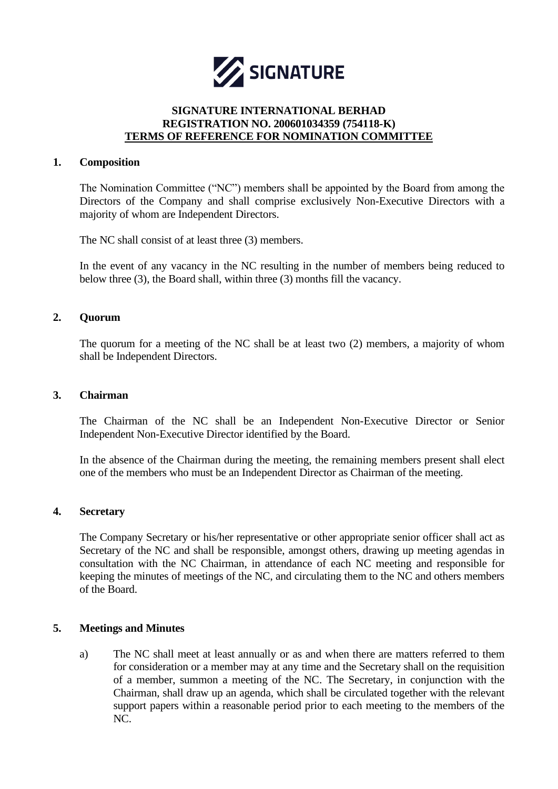

## **SIGNATURE INTERNATIONAL BERHAD REGISTRATION NO. 200601034359 (754118-K) TERMS OF REFERENCE FOR NOMINATION COMMITTEE**

### **1. Composition**

The Nomination Committee ("NC") members shall be appointed by the Board from among the Directors of the Company and shall comprise exclusively Non-Executive Directors with a majority of whom are Independent Directors.

The NC shall consist of at least three (3) members.

In the event of any vacancy in the NC resulting in the number of members being reduced to below three (3), the Board shall, within three (3) months fill the vacancy.

### **2. Quorum**

The quorum for a meeting of the NC shall be at least two (2) members, a majority of whom shall be Independent Directors.

### **3. Chairman**

The Chairman of the NC shall be an Independent Non-Executive Director or Senior Independent Non-Executive Director identified by the Board.

In the absence of the Chairman during the meeting, the remaining members present shall elect one of the members who must be an Independent Director as Chairman of the meeting.

### **4. Secretary**

The Company Secretary or his/her representative or other appropriate senior officer shall act as Secretary of the NC and shall be responsible, amongst others, drawing up meeting agendas in consultation with the NC Chairman, in attendance of each NC meeting and responsible for keeping the minutes of meetings of the NC, and circulating them to the NC and others members of the Board.

### **5. Meetings and Minutes**

a) The NC shall meet at least annually or as and when there are matters referred to them for consideration or a member may at any time and the Secretary shall on the requisition of a member, summon a meeting of the NC. The Secretary, in conjunction with the Chairman, shall draw up an agenda, which shall be circulated together with the relevant support papers within a reasonable period prior to each meeting to the members of the NC.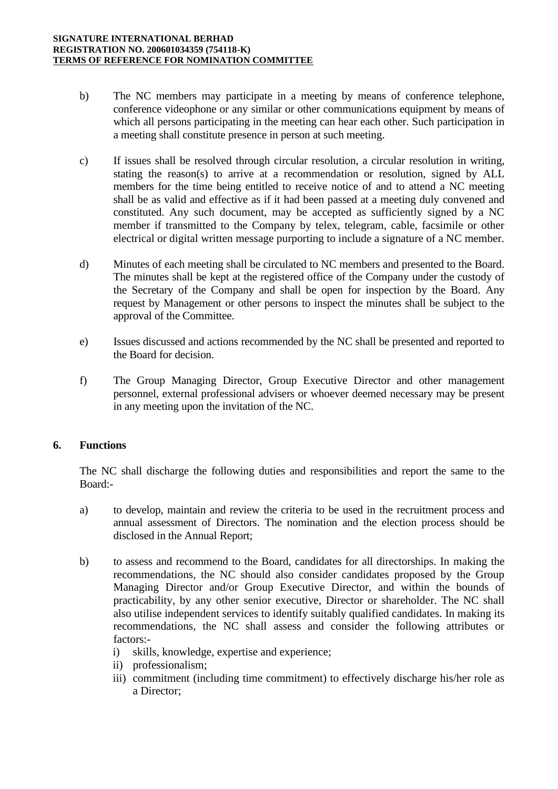- b) The NC members may participate in a meeting by means of conference telephone, conference videophone or any similar or other communications equipment by means of which all persons participating in the meeting can hear each other. Such participation in a meeting shall constitute presence in person at such meeting.
- c) If issues shall be resolved through circular resolution, a circular resolution in writing, stating the reason(s) to arrive at a recommendation or resolution, signed by ALL members for the time being entitled to receive notice of and to attend a NC meeting shall be as valid and effective as if it had been passed at a meeting duly convened and constituted. Any such document, may be accepted as sufficiently signed by a NC member if transmitted to the Company by telex, telegram, cable, facsimile or other electrical or digital written message purporting to include a signature of a NC member.
- d) Minutes of each meeting shall be circulated to NC members and presented to the Board. The minutes shall be kept at the registered office of the Company under the custody of the Secretary of the Company and shall be open for inspection by the Board. Any request by Management or other persons to inspect the minutes shall be subject to the approval of the Committee.
- e) Issues discussed and actions recommended by the NC shall be presented and reported to the Board for decision.
- f) The Group Managing Director, Group Executive Director and other management personnel, external professional advisers or whoever deemed necessary may be present in any meeting upon the invitation of the NC.

# **6. Functions**

The NC shall discharge the following duties and responsibilities and report the same to the Board:-

- a) to develop, maintain and review the criteria to be used in the recruitment process and annual assessment of Directors. The nomination and the election process should be disclosed in the Annual Report;
- b) to assess and recommend to the Board, candidates for all directorships. In making the recommendations, the NC should also consider candidates proposed by the Group Managing Director and/or Group Executive Director, and within the bounds of practicability, by any other senior executive, Director or shareholder. The NC shall also utilise independent services to identify suitably qualified candidates. In making its recommendations, the NC shall assess and consider the following attributes or factors:
	- i) skills, knowledge, expertise and experience;
	- ii) professionalism;
	- iii) commitment (including time commitment) to effectively discharge his/her role as a Director;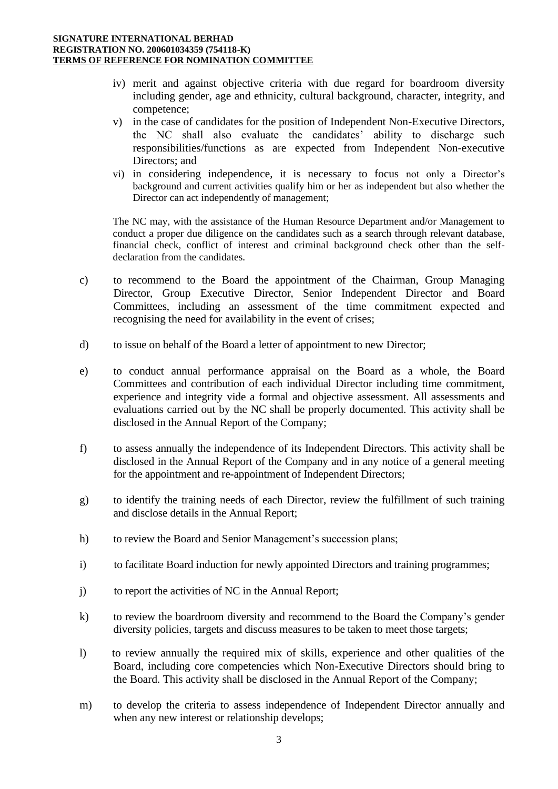- iv) merit and against objective criteria with due regard for boardroom diversity including gender, age and ethnicity, cultural background, character, integrity, and competence;
- v) in the case of candidates for the position of Independent Non-Executive Directors, the NC shall also evaluate the candidates' ability to discharge such responsibilities/functions as are expected from Independent Non-executive Directors; and
- vi) in considering independence, it is necessary to focus not only a Director's background and current activities qualify him or her as independent but also whether the Director can act independently of management;

The NC may, with the assistance of the Human Resource Department and/or Management to conduct a proper due diligence on the candidates such as a search through relevant database, financial check, conflict of interest and criminal background check other than the selfdeclaration from the candidates.

- c) to recommend to the Board the appointment of the Chairman, Group Managing Director, Group Executive Director, Senior Independent Director and Board Committees, including an assessment of the time commitment expected and recognising the need for availability in the event of crises;
- d) to issue on behalf of the Board a letter of appointment to new Director;
- e) to conduct annual performance appraisal on the Board as a whole, the Board Committees and contribution of each individual Director including time commitment, experience and integrity vide a formal and objective assessment. All assessments and evaluations carried out by the NC shall be properly documented. This activity shall be disclosed in the Annual Report of the Company;
- f) to assess annually the independence of its Independent Directors. This activity shall be disclosed in the Annual Report of the Company and in any notice of a general meeting for the appointment and re-appointment of Independent Directors;
- g) to identify the training needs of each Director, review the fulfillment of such training and disclose details in the Annual Report;
- h) to review the Board and Senior Management's succession plans;
- i) to facilitate Board induction for newly appointed Directors and training programmes;
- j) to report the activities of NC in the Annual Report;
- k) to review the boardroom diversity and recommend to the Board the Company's gender diversity policies, targets and discuss measures to be taken to meet those targets;
- l) to review annually the required mix of skills, experience and other qualities of the Board, including core competencies which Non-Executive Directors should bring to the Board. This activity shall be disclosed in the Annual Report of the Company;
- m) to develop the criteria to assess independence of Independent Director annually and when any new interest or relationship develops;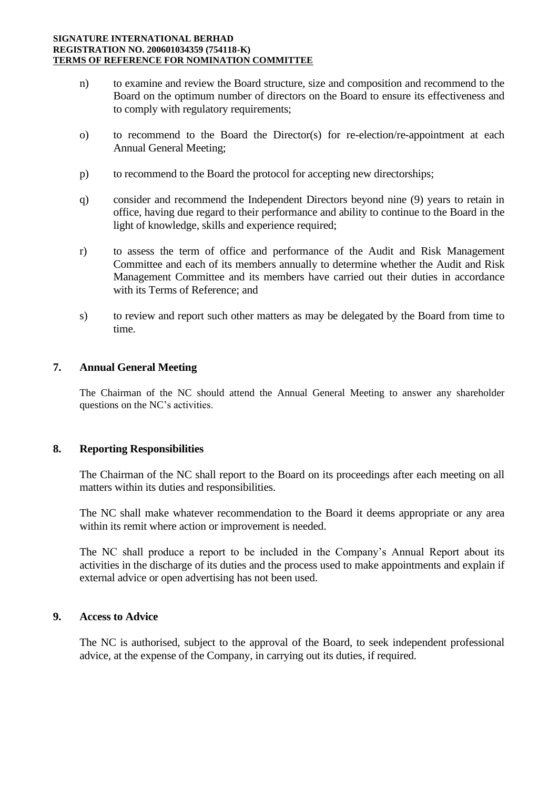#### **SIGNATURE INTERNATIONAL BERHAD REGISTRATION NO. 200601034359 (754118-K) TERMS OF REFERENCE FOR NOMINATION COMMITTEE**

- n) to examine and review the Board structure, size and composition and recommend to the Board on the optimum number of directors on the Board to ensure its effectiveness and to comply with regulatory requirements;
- o) to recommend to the Board the Director(s) for re-election/re-appointment at each Annual General Meeting;
- p) to recommend to the Board the protocol for accepting new directorships;
- q) consider and recommend the Independent Directors beyond nine (9) years to retain in office, having due regard to their performance and ability to continue to the Board in the light of knowledge, skills and experience required;
- r) to assess the term of office and performance of the Audit and Risk Management Committee and each of its members annually to determine whether the Audit and Risk Management Committee and its members have carried out their duties in accordance with its Terms of Reference; and
- s) to review and report such other matters as may be delegated by the Board from time to time.

### **7. Annual General Meeting**

The Chairman of the NC should attend the Annual General Meeting to answer any shareholder questions on the NC's activities.

## **8. Reporting Responsibilities**

The Chairman of the NC shall report to the Board on its proceedings after each meeting on all matters within its duties and responsibilities.

The NC shall make whatever recommendation to the Board it deems appropriate or any area within its remit where action or improvement is needed.

The NC shall produce a report to be included in the Company's Annual Report about its activities in the discharge of its duties and the process used to make appointments and explain if external advice or open advertising has not been used.

# **9. Access to Advice**

The NC is authorised, subject to the approval of the Board, to seek independent professional advice, at the expense of the Company, in carrying out its duties, if required.